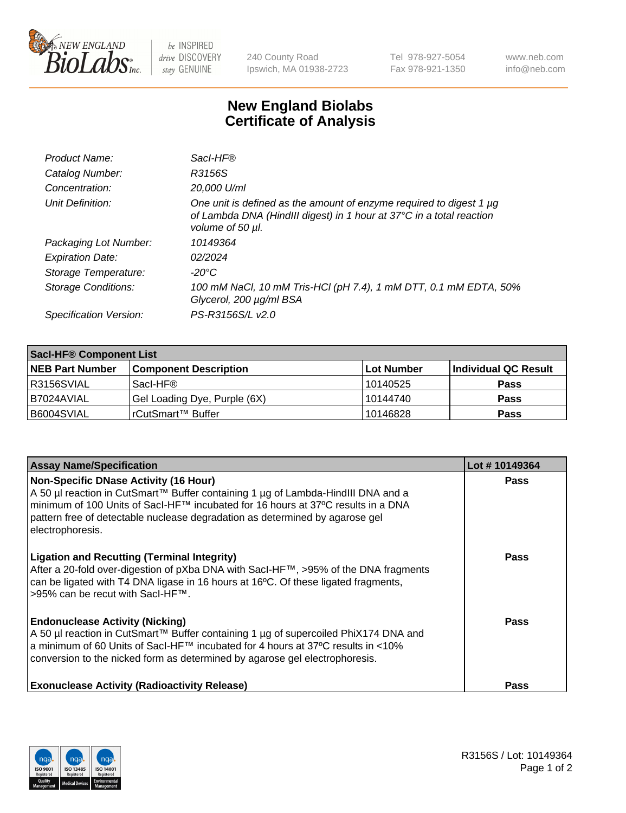

 $be$  INSPIRED drive DISCOVERY stay GENUINE

240 County Road Ipswich, MA 01938-2723 Tel 978-927-5054 Fax 978-921-1350 www.neb.com info@neb.com

## **New England Biolabs Certificate of Analysis**

| Product Name:              | Sacl-HF®                                                                                                                                                        |
|----------------------------|-----------------------------------------------------------------------------------------------------------------------------------------------------------------|
| Catalog Number:            | R3156S                                                                                                                                                          |
| Concentration:             | 20,000 U/ml                                                                                                                                                     |
| Unit Definition:           | One unit is defined as the amount of enzyme required to digest 1 µg<br>of Lambda DNA (HindIII digest) in 1 hour at 37°C in a total reaction<br>volume of 50 µl. |
| Packaging Lot Number:      | 10149364                                                                                                                                                        |
| <b>Expiration Date:</b>    | 02/2024                                                                                                                                                         |
| Storage Temperature:       | -20°C                                                                                                                                                           |
| <b>Storage Conditions:</b> | 100 mM NaCl, 10 mM Tris-HCl (pH 7.4), 1 mM DTT, 0.1 mM EDTA, 50%<br>Glycerol, 200 µg/ml BSA                                                                     |
| Specification Version:     | PS-R3156S/L v2.0                                                                                                                                                |

| <b>Saci-HF® Component List</b> |                              |             |                      |  |  |
|--------------------------------|------------------------------|-------------|----------------------|--|--|
| <b>NEB Part Number</b>         | <b>Component Description</b> | ∣Lot Number | Individual QC Result |  |  |
| I R3156SVIAL                   | Sacl-HF®                     | 10140525    | <b>Pass</b>          |  |  |
| I B7024AVIAL                   | Gel Loading Dye, Purple (6X) | 10144740    | <b>Pass</b>          |  |  |
| B6004SVIAL                     | rCutSmart™ Buffer            | 10146828    | <b>Pass</b>          |  |  |

| <b>Assay Name/Specification</b>                                                                                                                                                                                                                                                                                           | Lot #10149364 |
|---------------------------------------------------------------------------------------------------------------------------------------------------------------------------------------------------------------------------------------------------------------------------------------------------------------------------|---------------|
| <b>Non-Specific DNase Activity (16 Hour)</b><br>A 50 µl reaction in CutSmart™ Buffer containing 1 µg of Lambda-HindIII DNA and a<br>minimum of 100 Units of Sacl-HF™ incubated for 16 hours at 37°C results in a DNA<br>pattern free of detectable nuclease degradation as determined by agarose gel<br>electrophoresis.  | <b>Pass</b>   |
| <b>Ligation and Recutting (Terminal Integrity)</b><br>After a 20-fold over-digestion of pXba DNA with SacI-HF™, >95% of the DNA fragments<br>can be ligated with T4 DNA ligase in 16 hours at 16°C. Of these ligated fragments,<br>>95% can be recut with SacI-HF™.                                                       | <b>Pass</b>   |
| <b>Endonuclease Activity (Nicking)</b><br>A 50 µl reaction in CutSmart™ Buffer containing 1 µg of supercoiled PhiX174 DNA and<br>a minimum of 60 Units of Sacl-HF <sup>TM</sup> incubated for 4 hours at 37 <sup>o</sup> C results in <10%<br>conversion to the nicked form as determined by agarose gel electrophoresis. | Pass          |
| <b>Exonuclease Activity (Radioactivity Release)</b>                                                                                                                                                                                                                                                                       | <b>Pass</b>   |